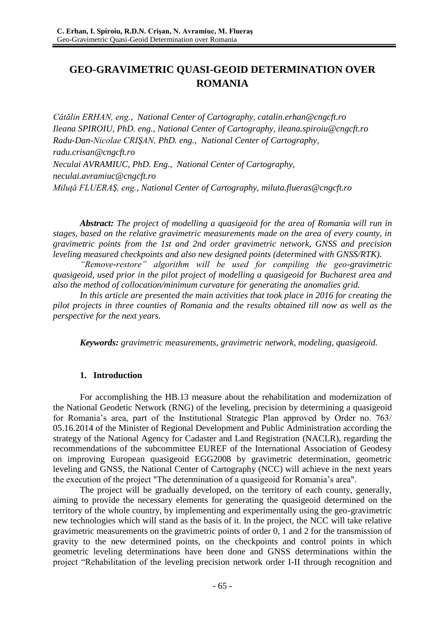# **GEO-GRAVIMETRIC QUASI-GEOID DETERMINATION OVER ROMANIA**

*Cătălin ERHAN, eng., National Center of Cartography, [catalin.erhan@cngcft.ro](mailto:catalin.erhan@cngcft.ro) Ileana SPIROIU, PhD. eng., National Center of Cartography, [ileana.spiroiu@cngcft.ro](mailto:ileana.spiroiu@cngcft.ro) Radu-Dan-Nicolae CRIŞAN, PhD. eng., National Center of Cartography, [radu.crisan@cngcft.ro](mailto:radu.crisan@cngcft.ro) Neculai AVRAMIUC, PhD. Eng., National Center of Cartography, [neculai.avramiuc@cngcft.ro](mailto:neculai.avramiuc@cngcft.ro) Miluţă FLUERAŞ, eng., National Center of Cartography, [miluta.flueras@cngcft.ro](mailto:miluta.flueras@cngcft.ro)*

*Abstract: The project of modelling a quasigeoid for the area of Romania will run in stages, based on the relative gravimetric measurements made on the area of every county, in gravimetric points from the 1st and 2nd order gravimetric network, GNSS and precision leveling measured checkpoints and also new designed points (determined with GNSS/RTK).* 

*"Remove-restore" algorithm will be used for compiling the geo-gravimetric quasigeoid, used prior in the pilot project of modelling a quasigeoid for Bucharest area and also the method of collocation/minimum curvature for generating the anomalies grid.*

*In this article are presented the main activities that took place in 2016 for creating the pilot projects in three counties of Romania and the results obtained till now as well as the perspective for the next years.*

*Keywords: gravimetric measurements, gravimetric network, modeling, quasigeoid.*

## **1. Introduction**

For accomplishing the HB.13 measure about the rehabilitation and modernization of the National Geodetic Network (RNG) of the leveling, precision by determining a quasigeoid for Romania's area, part of the Institutional Strategic Plan approved by Order no. 763/ 05.16.2014 of the Minister of Regional Development and Public Administration according the strategy of the National Agency for Cadaster and Land Registration (NACLR), regarding the recommendations of the subcommittee EUREF of the International Association of Geodesy on improving European quasigeoid EGG2008 by gravimetric determination, geometric leveling and GNSS, the National Center of Cartography (NCC) will achieve in the next years the execution of the project "The determination of a quasigeoid for Romania's area".

The project will be gradually developed, on the territory of each county, generally, aiming to provide the necessary elements for generating the quasigeoid determined on the territory of the whole country, by implementing and experimentally using the geo-gravimetric new technologies which will stand as the basis of it. In the project, the NCC will take relative gravimetric measurements on the gravimetric points of order 0, 1 and 2 for the transmission of gravity to the new determined points, on the checkpoints and control points in which geometric leveling determinations have been done and GNSS determinations within the project "Rehabilitation of the leveling precision network order I-II through recognition and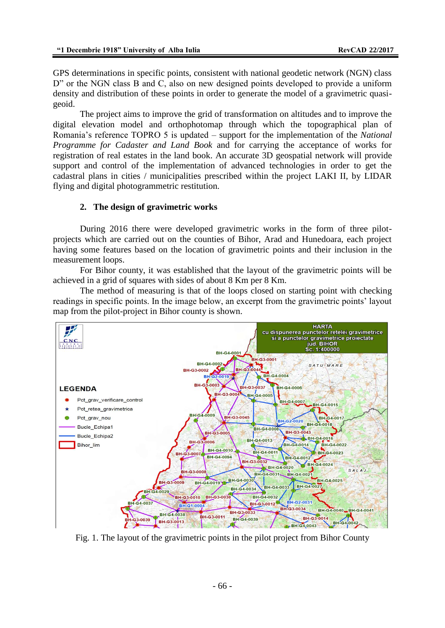GPS determinations in specific points, consistent with national geodetic network (NGN) class D" or the NGN class B and C, also on new designed points developed to provide a uniform density and distribution of these points in order to generate the model of a gravimetric quasigeoid.

The project aims to improve the grid of transformation on altitudes and to improve the digital elevation model and orthophotomap through which the topographical plan of Romania's reference TOPRO 5 is updated – support for the implementation of the *National Programme for Cadaster and Land Book* and for carrying the acceptance of works for registration of real estates in the land book. An accurate 3D geospatial network will provide support and control of the implementation of advanced technologies in order to get the cadastral plans in cities / municipalities prescribed within the project LAKI II, by LIDAR flying and digital photogrammetric restitution.

## **2. The design of gravimetric works**

During 2016 there were developed gravimetric works in the form of three pilotprojects which are carried out on the counties of Bihor, Arad and Hunedoara, each project having some features based on the location of gravimetric points and their inclusion in the measurement loops.

For Bihor county, it was established that the layout of the gravimetric points will be achieved in a grid of squares with sides of about 8 Km per 8 Km.

The method of measuring is that of the loops closed on starting point with checking readings in specific points. In the image below, an excerpt from the gravimetric points' layout map from the pilot-project in Bihor county is shown.



Fig. 1. The layout of the gravimetric points in the pilot project from Bihor County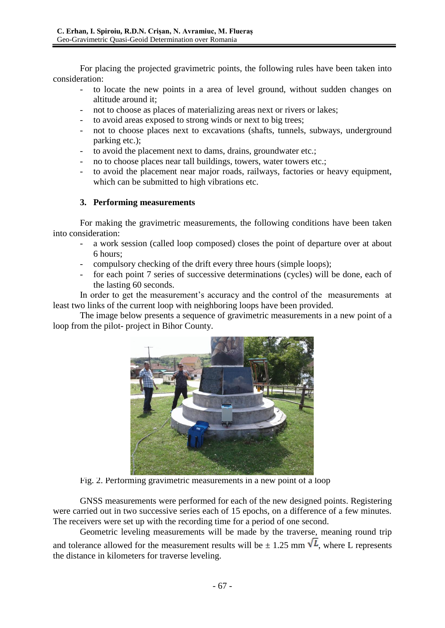For placing the projected gravimetric points, the following rules have been taken into consideration:

- to locate the new points in a area of level ground, without sudden changes on altitude around it;
- not to choose as places of materializing areas next or rivers or lakes;
- to avoid areas exposed to strong winds or next to big trees;
- not to choose places next to excavations (shafts, tunnels, subways, underground parking etc.);
- to avoid the placement next to dams, drains, groundwater etc.;
- no to choose places near tall buildings, towers, water towers etc.;
- to avoid the placement near major roads, railways, factories or heavy equipment, which can be submitted to high vibrations etc.

# **3. Performing measurements**

For making the gravimetric measurements, the following conditions have been taken into consideration:

- a work session (called loop composed) closes the point of departure over at about 6 hours;
- compulsory checking of the drift every three hours (simple loops);
- for each point 7 series of successive determinations (cycles) will be done, each of the lasting 60 seconds.

In order to get the measurement's accuracy and the control of the measurements at least two links of the current loop with neighboring loops have been provided.

The image below presents a sequence of gravimetric measurements in a new point of a loop from the pilot- project in Bihor County.



Fig. 2. Performing gravimetric measurements in a new point of a loop

GNSS measurements were performed for each of the new designed points. Registering were carried out in two successive series each of 15 epochs, on a difference of a few minutes. The receivers were set up with the recording time for a period of one second.

Geometric leveling measurements will be made by the traverse, meaning round trip and tolerance allowed for the measurement results will be  $\pm$  1.25 mm  $\sqrt{L}$ , where L represents the distance in kilometers for traverse leveling.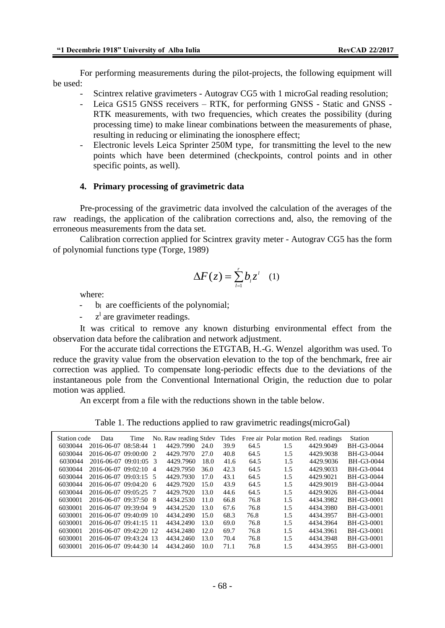For performing measurements during the pilot-projects, the following equipment will be used:

- Scintrex relative gravimeters Autograv CG5 with 1 microGal reading resolution;
- Leica GS15 GNSS receivers RTK, for performing GNSS Static and GNSS RTK measurements, with two frequencies, which creates the possibility (during processing time) to make linear combinations between the measurements of phase, resulting in reducing or eliminating the ionosphere effect;
- Electronic levels Leica Sprinter 250M type, for transmitting the level to the new points which have been determined (checkpoints, control points and in other specific points, as well).

#### **4. Primary processing of gravimetric data**

Pre-processing of the gravimetric data involved the calculation of the averages of the raw readings, the application of the calibration corrections and, also, the removing of the erroneous measurements from the data set.

Calibration correction applied for Scintrex gravity meter - Autograv CG5 has the form of polynomial functions type (Torge, 1989)

$$
\Delta F(z) = \sum_{i=1}^{r} b_i z^i \quad (1)
$$

where:

 $b<sub>l</sub>$  are coefficients of the polynomial;

 $-$  z<sup>1</sup> are gravimeter readings.

It was critical to remove any known disturbing environmental effect from the observation data before the calibration and network adjustment.

For the accurate tidal corrections the ETGTAB, H.-G. Wenzel algorithm was used. To reduce the gravity value from the observation elevation to the top of the benchmark, free air correction was applied. To compensate long-periodic effects due to the deviations of the instantaneous pole from the Conventional International Origin, the reduction due to polar motion was applied.

An excerpt from a file with the reductions shown in the table below.

Table 1. The reductions applied to raw gravimetric readings(microGal)

| Station code | Data                   | Time          |               | No. Raw reading Stdev |      | Tides |      |     | Free air Polar motion Red. readings | <b>Station</b> |
|--------------|------------------------|---------------|---------------|-----------------------|------|-------|------|-----|-------------------------------------|----------------|
| 6030044      | 2016-06-07             | 08:58:44      |               | 4429.7990             | 24.0 | 39.9  | 64.5 | 1.5 | 4429.9049                           | BH-G3-0044     |
| 6030044      | 2016-06-07             | 09:00:00      | $\mathcal{D}$ | 4429.7970             | 27.0 | 40.8  | 64.5 | 1.5 | 4429.9038                           | BH-G3-0044     |
| 6030044      | 2016-06-07 09:01:05    |               | $\mathcal{R}$ | 4429.7960             | 18.0 | 41.6  | 64.5 | 1.5 | 4429.9036                           | BH-G3-0044     |
| 6030044      | 2016-06-07             | 09:02:10      | 4             | 4429.7950             | 36.0 | 42.3  | 64.5 | 1.5 | 4429.9033                           | BH-G3-0044     |
| 6030044      | 2016-06-07             | $09:03:15$ 5  |               | 4429.7930             | 17.0 | 43.1  | 64.5 | 1.5 | 4429.9021                           | BH-G3-0044     |
| 6030044      | 2016-06-07             | 09:04:20      | 6             | 4429.7920             | 15.0 | 43.9  | 64.5 | 1.5 | 4429.9019                           | BH-G3-0044     |
| 6030044      | 2016-06-07 09:05:25    |               | 7             | 4429.7920             | 13.0 | 44.6  | 64.5 | 1.5 | 4429.9026                           | BH-G3-0044     |
| 6030001      | 2016-06-07             | 09:37:50      | - 8           | 4434.2530             | 11.0 | 66.8  | 76.8 | 1.5 | 4434.3982                           | BH-G3-0001     |
| 6030001      | 2016-06-07 09:39:04    |               | 9             | 4434.2520             | 13.0 | 67.6  | 76.8 | 1.5 | 4434.3980                           | BH-G3-0001     |
| 6030001      | 2016-06-07             | $09:40:09$ 10 |               | 4434.2490             | 15.0 | 68.3  | 76.8 | 1.5 | 4434.3957                           | BH-G3-0001     |
| 6030001      | 2016-06-07 09:41:15 11 |               |               | 4434.2490             | 13.0 | 69.0  | 76.8 | 1.5 | 4434.3964                           | BH-G3-0001     |
| 6030001      | 2016-06-07 09:42:20 12 |               |               | 4434.2480             | 12.0 | 69.7  | 76.8 | 1.5 | 4434.3961                           | BH-G3-0001     |
| 6030001      | 2016-06-07             | 09:43:24 13   |               | 4434.2460             | 13.0 | 70.4  | 76.8 | 1.5 | 4434.3948                           | BH-G3-0001     |
| 6030001      | 2016-06-07             | $09:44:30$ 14 |               | 4434.2460             | 10.0 | 71.1  | 76.8 | 1.5 | 4434.3955                           | BH-G3-0001     |
|              |                        |               |               |                       |      |       |      |     |                                     |                |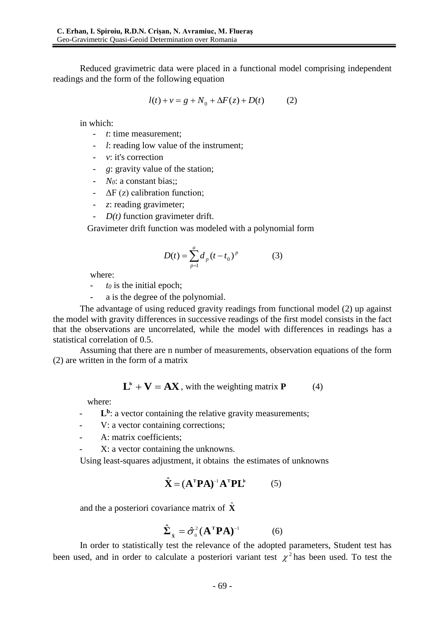Reduced gravimetric data were placed in a functional model comprising independent readings and the form of the following equation

$$
l(t) + v = g + N_0 + \Delta F(z) + D(t)
$$
 (2)

in which:

- *t*: time measurement;
- *l*: reading low value of the instrument;
- *v*: it's correction
- *g*: gravity value of the station;
- *N0*: a constant bias;;
- $\Delta F(z)$  calibration function;
- *z*: reading gravimeter;
- *D(t)* function gravimeter drift.

Gravimeter drift function was modeled with a polynomial form

$$
D(t) = \sum_{p=1}^{a} d_p (t - t_0)^p
$$
 (3)

where:

- $t_0$  is the initial epoch;
- a is the degree of the polynomial.

The advantage of using reduced gravity readings from functional model (2) up against the model with gravity differences in successive readings of the first model consists in the fact that the observations are uncorrelated, while the model with differences in readings has a statistical correlation of 0.5.

Assuming that there are n number of measurements, observation equations of the form (2) are written in the form of a matrix

$$
\mathbf{L}^{\mathbf{b}} + \mathbf{V} = \mathbf{A}\mathbf{X}
$$
, with the weighting matrix **P** (4)

where:

- **L<sup>b</sup>** : a vector containing the relative gravity measurements;
- V: a vector containing corrections;
- A: matrix coefficients;
- X: a vector containing the unknowns.

Using least-squares adjustment, it obtains the estimates of unknowns

$$
\hat{\mathbf{X}} = (\mathbf{A}^{\mathrm{T}} \mathbf{P} \mathbf{A})^{-1} \mathbf{A}^{\mathrm{T}} \mathbf{P} \mathbf{L}^{\mathrm{b}} \tag{5}
$$

and the a posteriori covariance matrix of  $\hat{\mathbf{X}}$ 

$$
\hat{\Sigma}_{\hat{\mathbf{x}}} = \hat{\sigma}_0^2 (\mathbf{A}^{\mathrm{T}} \mathbf{P} \mathbf{A})^{-1} \tag{6}
$$

In order to statistically test the relevance of the adopted parameters, Student test has been used, and in order to calculate a posteriori variant test  $\chi^2$  has been used. To test the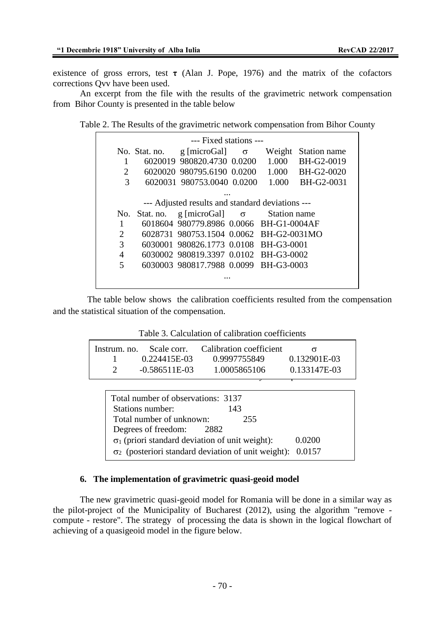existence of gross errors, test  $\tau$  (Alan J. Pope, 1976) and the matrix of the cofactors corrections Qvv have been used.

An excerpt from the file with the results of the gravimetric network compensation from Bihor County is presented in the table below

Table 2. The Results of the gravimetric network compensation from Bihor County

| --- Fixed stations --- |                                                  |               |                                         |  |        |              |  |
|------------------------|--------------------------------------------------|---------------|-----------------------------------------|--|--------|--------------|--|
|                        |                                                  |               | No. Stat. no. $g$ [microGal] $\sigma$   |  | Weight | Station name |  |
|                        | 1                                                |               | 6020019 980820.4730 0.0200              |  | 1.000  | BH-G2-0019   |  |
|                        | 2                                                |               | 6020020 980795.6190 0.0200              |  | 1.000  | BH-G2-0020   |  |
|                        | 3                                                |               | 6020031 980753,0040 0.0200              |  | 1.000  | BH-G2-0031   |  |
|                        |                                                  |               | $\cdot \cdot \cdot$                     |  |        |              |  |
|                        | --- Adjusted results and standard deviations --- |               |                                         |  |        |              |  |
|                        |                                                  | No. Stat. no. | g [microGal] $\sigma$ Station name      |  |        |              |  |
|                        | 1                                                |               | 6018604 980779.8986 0.0066 BH-G1-0004AF |  |        |              |  |
|                        | 2                                                |               | 6028731 980753.1504 0.0062 BH-G2-0031MO |  |        |              |  |
|                        | 3                                                |               | 6030001 980826.1773 0.0108 BH-G3-0001   |  |        |              |  |
|                        | 4                                                |               | 6030002 980819.3397 0.0102 BH-G3-0002   |  |        |              |  |
|                        | 5                                                |               | 6030003 980817.7988 0.0099 BH-G3-0003   |  |        |              |  |
|                        |                                                  |               |                                         |  |        |              |  |
|                        |                                                  |               |                                         |  |        |              |  |

The table below shows the calibration coefficients resulted from the compensation and the statistical situation of the compensation.

| Table 3. Calculation of calibration coefficients |  |
|--------------------------------------------------|--|
|--------------------------------------------------|--|

| Instrum, no. Scale corr. | Calibration coefficient |              |
|--------------------------|-------------------------|--------------|
| 0.224415E-03             | 0.9997755849            | 0.132901E-03 |
| $-0.586511E-03$          | 1.0005865106            | 0.133147E-03 |
|                          |                         |              |

| Total number of observations: 3137                                |        |
|-------------------------------------------------------------------|--------|
| Stations number:<br>143                                           |        |
| Total number of unknown:<br>255                                   |        |
| Degrees of freedom:<br>2882                                       |        |
| $\sigma_1$ (priori standard deviation of unit weight):            | 0.0200 |
| $\sigma_2$ (posteriori standard deviation of unit weight): 0.0157 |        |

# **6. The implementation of gravimetric quasi-geoid model**

The new gravimetric quasi-geoid model for Romania will be done in a similar way as the pilot-project of the Municipality of Bucharest (2012), using the algorithm "remove compute - restore". The strategy of processing the data is shown in the logical flowchart of achieving of a quasigeoid model in the figure below.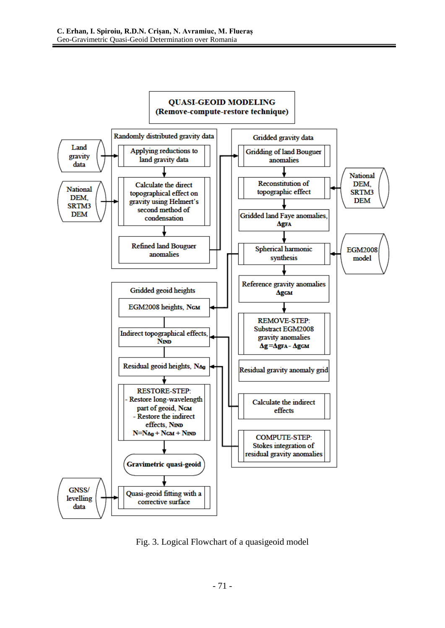

Fig. 3. Logical Flowchart of a quasigeoid model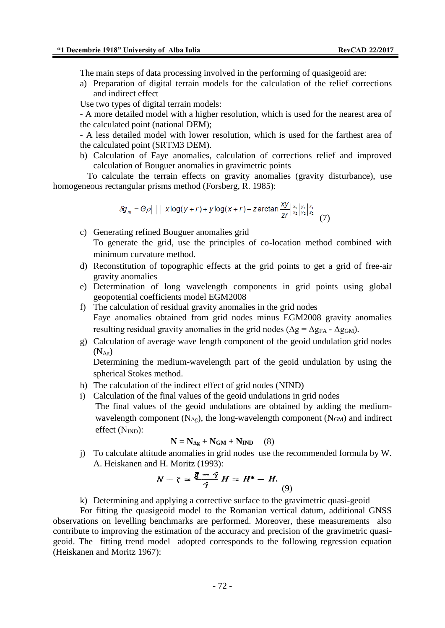The main steps of data processing involved in the performing of quasigeoid are:

a) Preparation of digital terrain models for the calculation of the relief corrections and indirect effect

Use two types of digital terrain models:

- A more detailed model with a higher resolution, which is used for the nearest area of the calculated point (national DEM);

- A less detailed model with lower resolution, which is used for the farthest area of the calculated point (SRTM3 DEM).

b) Calculation of Faye anomalies, calculation of corrections relief and improved calculation of Bouguer anomalies in gravimetric points

To calculate the terrain effects on gravity anomalies (gravity disturbance), use homogeneous rectangular prisms method (Forsberg, R. 1985):

$$
\delta g_m = G\rho \left| \left| \left| x \log(y+r) + y \log(x+r) - z \arctan \frac{xy}{zr} \right|_{x_2}^{x_1} \right|_{y_2}^{y_1} \left|_{z_2}^{z_1} \right| \right| \tag{7}
$$

c) Generating refined Bouguer anomalies grid

To generate the grid, use the principles of co-location method combined with minimum curvature method.

- d) Reconstitution of topographic effects at the grid points to get a grid of free-air gravity anomalies
- e) Determination of long wavelength components in grid points using global geopotential coefficients model EGM2008
- f) The calculation of residual gravity anomalies in the grid nodes Faye anomalies obtained from grid nodes minus EGM2008 gravity anomalies resulting residual gravity anomalies in the grid nodes ( $\Delta g = \Delta g_{FA} - \Delta g_{GM}$ ).
- g) Calculation of average wave length component of the geoid undulation grid nodes  $(N_{\Delta g})$

Determining the medium-wavelength part of the geoid undulation by using the spherical Stokes method.

- h) The calculation of the indirect effect of grid nodes (NIND)
- i) Calculation of the final values of the geoid undulations in grid nodes The final values of the geoid undulations are obtained by adding the mediumwavelength component  $(N_{\Delta g})$ , the long-wavelength component  $(N_{GM})$  and indirect effect  $(N_{IND})$ :

$$
N = N_{\Delta g} + N_{GM} + N_{IND} \quad (8)
$$

j) To calculate altitude anomalies in grid nodes use the recommended formula by W. A. Heiskanen and H. Moritz (1993):

$$
N - \zeta = \frac{\overline{g} - \overline{\gamma}}{\overline{\gamma}} H = H^* - H. \tag{9}
$$

k) Determining and applying a corrective surface to the gravimetric quasi-geoid

For fitting the quasigeoid model to the Romanian vertical datum, additional GNSS observations on levelling benchmarks are performed. Moreover, these measurements also contribute to improving the estimation of the accuracy and precision of the gravimetric quasigeoid. The fitting trend model adopted corresponds to the following regression equation (Heiskanen and Moritz 1967):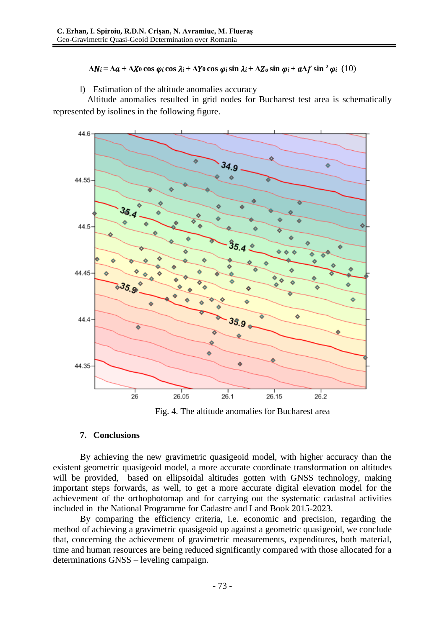## $\Delta N$ **i** =  $\Delta a$  +  $\Delta X$ <sup>0</sup> cos  $\varphi$ **i** cos  $\lambda$ **i** +  $\Delta Y$ <sup>0</sup> cos  $\varphi$ **i** sin  $\lambda$ **i** +  $\Delta Z$ <sup>o</sup>s sin  $\varphi$ **i** +  $a\Delta f$  sin<sup>2</sup> $\varphi$ **i** (10)

l) Estimation of the altitude anomalies accuracy

Altitude anomalies resulted in grid nodes for Bucharest test area is schematically represented by isolines in the following figure.



Fig. 4. The altitude anomalies for Bucharest area

## **7. Conclusions**

By achieving the new gravimetric quasigeoid model, with higher accuracy than the existent geometric quasigeoid model, a more accurate coordinate transformation on altitudes will be provided, based on ellipsoidal altitudes gotten with GNSS technology, making important steps forwards, as well, to get a more accurate digital elevation model for the achievement of the orthophotomap and for carrying out the systematic cadastral activities included in the National Programme for Cadastre and Land Book 2015-2023.

By comparing the efficiency criteria, i.e. economic and precision, regarding the method of achieving a gravimetric quasigeoid up against a geometric quasigeoid, we conclude that, concerning the achievement of gravimetric measurements, expenditures, both material, time and human resources are being reduced significantly compared with those allocated for a determinations GNSS – leveling campaign.